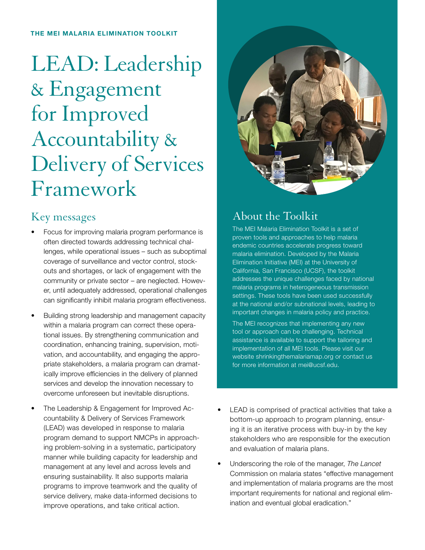#### THE MEI MALARIA ELIMINATION TOOLKIT

# LEAD: Leadership & Engagement for Improved Accountability & Delivery of Services Framework

#### Key messages

- Focus for improving malaria program performance is often directed towards addressing technical challenges, while operational issues – such as suboptimal coverage of surveillance and vector control, stockouts and shortages, or lack of engagement with the community or private sector – are neglected. However, until adequately addressed, operational challenges can significantly inhibit malaria program effectiveness.
- Building strong leadership and management capacity within a malaria program can correct these operational issues. By strengthening communication and coordination, enhancing training, supervision, motivation, and accountability, and engaging the appropriate stakeholders, a malaria program can dramatically improve efficiencies in the delivery of planned services and develop the innovation necessary to overcome unforeseen but inevitable disruptions.
- The Leadership & Engagement for Improved Accountability & Delivery of Services Framework (LEAD) was developed in response to malaria program demand to support NMCPs in approaching problem-solving in a systematic, participatory manner while building capacity for leadership and management at any level and across levels and ensuring sustainability. It also supports malaria programs to improve teamwork and the quality of service delivery, make data-informed decisions to improve operations, and take critical action.



## About the Toolkit

The MEI Malaria Elimination Toolkit is a set of proven tools and approaches to help malaria endemic countries accelerate progress toward malaria elimination. Developed by the Malaria Elimination Initiative (MEI) at the University of California, San Francisco (UCSF), the toolkit addresses the unique challenges faced by national malaria programs in heterogeneous transmission settings. These tools have been used successfully at the national and/or subnational levels, leading to important changes in malaria policy and practice.

The MEI recognizes that implementing any new tool or approach can be challenging. Technical assistance is available to support the tailoring and implementation of all MEI tools. Please visit our website shrinkingthemalariamap.org or contact us for more information at mei@ucsf.edu.

- LEAD is comprised of practical activities that take a bottom-up approach to program planning, ensuring it is an iterative process with buy-in by the key stakeholders who are responsible for the execution and evaluation of malaria plans.
- Underscoring the role of the manager, *The Lancet*  Commission on malaria states "effective management and implementation of malaria programs are the most important requirements for national and regional elimination and eventual global eradication."